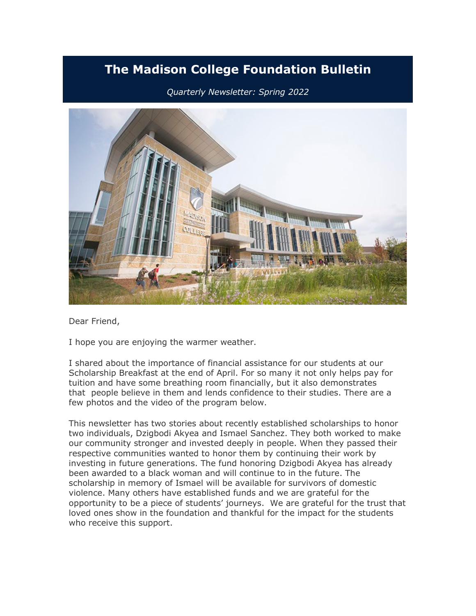# **The Madison College Foundation Bulletin**

# *Quarterly Newsletter: Spring 2022*



Dear Friend,

I hope you are enjoying the warmer weather.

I shared about the importance of financial assistance for our students at our Scholarship Breakfast at the end of April. For so many it not only helps pay for tuition and have some breathing room financially, but it also demonstrates that people believe in them and lends confidence to their studies. There are a few photos and the video of the program below.

This newsletter has two stories about recently established scholarships to honor two individuals, Dzigbodi Akyea and Ismael Sanchez. They both worked to make our community stronger and invested deeply in people. When they passed their respective communities wanted to honor them by continuing their work by investing in future generations. The fund honoring Dzigbodi Akyea has already been awarded to a black woman and will continue to in the future. The scholarship in memory of Ismael will be available for survivors of domestic violence. Many others have established funds and we are grateful for the opportunity to be a piece of students' journeys. We are grateful for the trust that loved ones show in the foundation and thankful for the impact for the students who receive this support.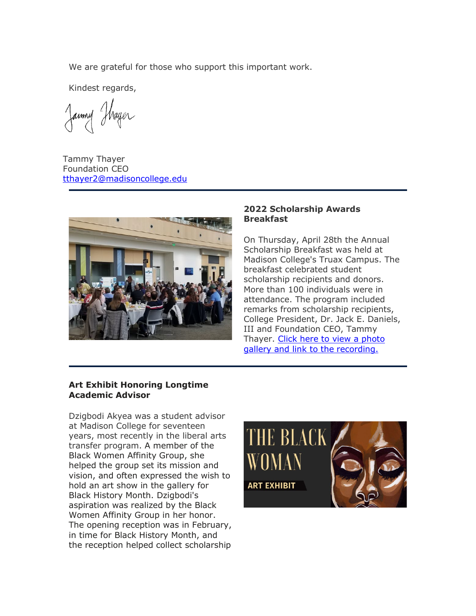We are grateful for those who support this important work.

Kindest regards,

Janmy Thayer

Tammy Thayer Foundation CEO [tthayer2@madisoncollege.edu](mailto:tthayer2@madisoncollege.edu)



#### **2022 Scholarship Awards Breakfast**

On Thursday, April 28th the Annual Scholarship Breakfast was held at Madison College's Truax Campus. The breakfast celebrated student scholarship recipients and donors. More than 100 individuals were in attendance. The program included remarks from scholarship recipients, College President, Dr. Jack E. Daniels, III and Foundation CEO, Tammy Thayer. [Click here to view a photo](https://nam10.safelinks.protection.outlook.com/?url=https%3A%2F%2Feml-pusa01.app.blackbaud.net%2Fintv2%2Fj%2F52183D6D-39BE-48E0-99CB-08B8E87ECD17%2Fr%2F52183D6D-39BE-48E0-99CB-08B8E87ECD17_c15c63e6-b4b1-4631-bece-5f48047d62dd%2Fl%2FA961B06D-B0D7-45E3-834F-DCDC61D3F435%2Fc&data=05%7C01%7Ckjriese%40madisoncollege.edu%7Cb5c878d8780c453cf4b008da32a31df8%7C33f001466fcc49e9b5687896b3069d44%7C0%7C0%7C637877973404837458%7CUnknown%7CTWFpbGZsb3d8eyJWIjoiMC4wLjAwMDAiLCJQIjoiV2luMzIiLCJBTiI6Ik1haWwiLCJXVCI6Mn0%3D%7C3000%7C%7C%7C&sdata=BK5nQrXbn%2FszIBSt%2FFJGgBXVegGHu1CFCqboT5FzOZs%3D&reserved=0)  [gallery and link to the recording.](https://nam10.safelinks.protection.outlook.com/?url=https%3A%2F%2Feml-pusa01.app.blackbaud.net%2Fintv2%2Fj%2F52183D6D-39BE-48E0-99CB-08B8E87ECD17%2Fr%2F52183D6D-39BE-48E0-99CB-08B8E87ECD17_c15c63e6-b4b1-4631-bece-5f48047d62dd%2Fl%2FA961B06D-B0D7-45E3-834F-DCDC61D3F435%2Fc&data=05%7C01%7Ckjriese%40madisoncollege.edu%7Cb5c878d8780c453cf4b008da32a31df8%7C33f001466fcc49e9b5687896b3069d44%7C0%7C0%7C637877973404837458%7CUnknown%7CTWFpbGZsb3d8eyJWIjoiMC4wLjAwMDAiLCJQIjoiV2luMzIiLCJBTiI6Ik1haWwiLCJXVCI6Mn0%3D%7C3000%7C%7C%7C&sdata=BK5nQrXbn%2FszIBSt%2FFJGgBXVegGHu1CFCqboT5FzOZs%3D&reserved=0)

## **Art Exhibit Honoring Longtime Academic Advisor**

Dzigbodi Akyea was a student advisor at Madison College for seventeen years, most recently in the liberal arts transfer program. A member of the Black Women Affinity Group, she helped the group set its mission and vision, and often expressed the wish to hold an art show in the gallery for Black History Month. Dzigbodi's aspiration was realized by the Black Women Affinity Group in her honor. The opening reception was in February, in time for Black History Month, and the reception helped collect scholarship

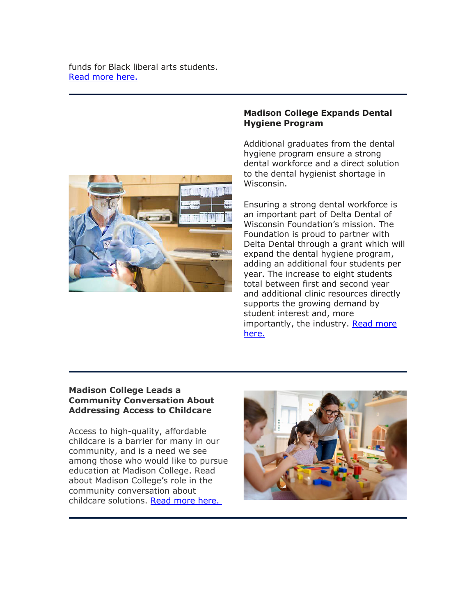funds for Black liberal arts students. [Read more here.](https://nam10.safelinks.protection.outlook.com/?url=https%3A%2F%2Feml-pusa01.app.blackbaud.net%2Fintv2%2Fj%2F52183D6D-39BE-48E0-99CB-08B8E87ECD17%2Fr%2F52183D6D-39BE-48E0-99CB-08B8E87ECD17_c15c63e6-b4b1-4631-bece-5f48047d62dd%2Fl%2F5DB0751B-6F4E-466A-B862-1FCFC1B4867F%2Fc&data=05%7C01%7Ckjriese%40madisoncollege.edu%7Cb5c878d8780c453cf4b008da32a31df8%7C33f001466fcc49e9b5687896b3069d44%7C0%7C0%7C637877973404837458%7CUnknown%7CTWFpbGZsb3d8eyJWIjoiMC4wLjAwMDAiLCJQIjoiV2luMzIiLCJBTiI6Ik1haWwiLCJXVCI6Mn0%3D%7C3000%7C%7C%7C&sdata=vaiEA2QVcZfaTwbS17E9jFIhyAOl7TvUAgsH71nAvHI%3D&reserved=0)



## **Madison College Expands Dental Hygiene Program**

Additional graduates from the dental hygiene program ensure a strong dental workforce and a direct solution to the dental hygienist shortage in Wisconsin.

Ensuring a strong dental workforce is an important part of Delta Dental of Wisconsin Foundation's mission. The Foundation is proud to partner with Delta Dental through a grant which will expand the dental hygiene program, adding an additional four students per year. The increase to eight students total between first and second year and additional clinic resources directly supports the growing demand by student interest and, more importantly, the industry. Read more [here.](https://nam10.safelinks.protection.outlook.com/?url=https%3A%2F%2Feml-pusa01.app.blackbaud.net%2Fintv2%2Fj%2F52183D6D-39BE-48E0-99CB-08B8E87ECD17%2Fr%2F52183D6D-39BE-48E0-99CB-08B8E87ECD17_c15c63e6-b4b1-4631-bece-5f48047d62dd%2Fl%2F4213DA4A-C8C7-4F12-B074-CFD601F92B4F%2Fc&data=05%7C01%7Ckjriese%40madisoncollege.edu%7Cb5c878d8780c453cf4b008da32a31df8%7C33f001466fcc49e9b5687896b3069d44%7C0%7C0%7C637877973404837458%7CUnknown%7CTWFpbGZsb3d8eyJWIjoiMC4wLjAwMDAiLCJQIjoiV2luMzIiLCJBTiI6Ik1haWwiLCJXVCI6Mn0%3D%7C3000%7C%7C%7C&sdata=BEnjZZcSreBffJFrTOFGaf8cOrR5bZCUGLQb1b8frNQ%3D&reserved=0)

## **Madison College Leads a Community Conversation About Addressing Access to Childcare**

Access to high-quality, affordable childcare is a barrier for many in our community, and is a need we see among those who would like to pursue education at Madison College. Read about Madison College's role in the community conversation about childcare solutions. [Read more here.](https://nam10.safelinks.protection.outlook.com/?url=https%3A%2F%2Feml-pusa01.app.blackbaud.net%2Fintv2%2Fj%2F52183D6D-39BE-48E0-99CB-08B8E87ECD17%2Fr%2F52183D6D-39BE-48E0-99CB-08B8E87ECD17_c15c63e6-b4b1-4631-bece-5f48047d62dd%2Fl%2FE6537062-9B79-4AA8-BB6D-3A50F88DE759%2Fc&data=05%7C01%7Ckjriese%40madisoncollege.edu%7Cb5c878d8780c453cf4b008da32a31df8%7C33f001466fcc49e9b5687896b3069d44%7C0%7C0%7C637877973404837458%7CUnknown%7CTWFpbGZsb3d8eyJWIjoiMC4wLjAwMDAiLCJQIjoiV2luMzIiLCJBTiI6Ik1haWwiLCJXVCI6Mn0%3D%7C3000%7C%7C%7C&sdata=NE7LHlbqUoqvJzP%2BZmKQ06NlGCfqbKkMvDBG6wSZY10%3D&reserved=0)

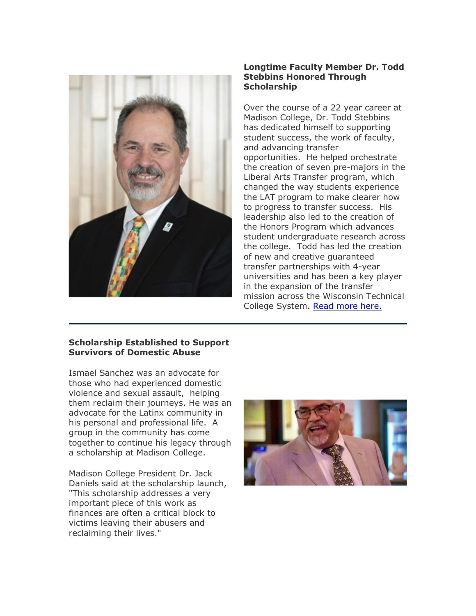

## **Longtime Faculty Member Dr. Todd Stebbins Honored Through Scholarship**

Over the course of a 22 year career at Madison College, Dr. Todd Stebbins has dedicated himself to supporting student success, the work of faculty, and advancing transfer opportunities. He helped orchestrate the creation of seven pre-majors in the Liberal Arts Transfer program, which changed the way students experience the LAT program to make clearer how to progress to transfer success. His leadership also led to the creation of the Honors Program which advances student undergraduate research across the college. Todd has led the creation of new and creative guaranteed transfer partnerships with 4-year universities and has been a key player in the expansion of the transfer mission across the Wisconsin Technical College System. [Read more here.](https://nam10.safelinks.protection.outlook.com/?url=https%3A%2F%2Feml-pusa01.app.blackbaud.net%2Fintv2%2Fj%2F52183D6D-39BE-48E0-99CB-08B8E87ECD17%2Fr%2F52183D6D-39BE-48E0-99CB-08B8E87ECD17_c15c63e6-b4b1-4631-bece-5f48047d62dd%2Fl%2F69B98E15-C776-4DAE-95EE-300E071D6E78%2Fc&data=05%7C01%7Ckjriese%40madisoncollege.edu%7Cb5c878d8780c453cf4b008da32a31df8%7C33f001466fcc49e9b5687896b3069d44%7C0%7C0%7C637877973404837458%7CUnknown%7CTWFpbGZsb3d8eyJWIjoiMC4wLjAwMDAiLCJQIjoiV2luMzIiLCJBTiI6Ik1haWwiLCJXVCI6Mn0%3D%7C3000%7C%7C%7C&sdata=FMGT3GDwhAdwfQO85JbF77Fow%2B%2FxgZC4w4ZSgcmP6vg%3D&reserved=0)

## **Scholarship Established to Support Survivors of Domestic Abuse**

Ismael Sanchez was an advocate for those who had experienced domestic violence and sexual assault, helping them reclaim their journeys. He was an advocate for the Latinx community in his personal and professional life. A group in the community has come together to continue his legacy through a scholarship at Madison College.

Madison College President Dr. Jack Daniels said at the scholarship launch, "This scholarship addresses a very important piece of this work as finances are often a critical block to victims leaving their abusers and reclaiming their lives."

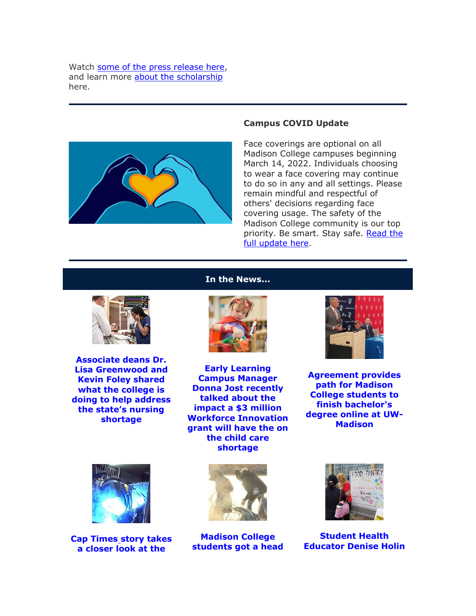Watch [some of the press release here,](https://nam10.safelinks.protection.outlook.com/?url=https%3A%2F%2Feml-pusa01.app.blackbaud.net%2Fintv2%2Fj%2F52183D6D-39BE-48E0-99CB-08B8E87ECD17%2Fr%2F52183D6D-39BE-48E0-99CB-08B8E87ECD17_c15c63e6-b4b1-4631-bece-5f48047d62dd%2Fl%2F02ECFC41-3CEB-4DA1-81A0-8C3AD0C89974%2Fc&data=05%7C01%7Ckjriese%40madisoncollege.edu%7Cb5c878d8780c453cf4b008da32a31df8%7C33f001466fcc49e9b5687896b3069d44%7C0%7C0%7C637877973404837458%7CUnknown%7CTWFpbGZsb3d8eyJWIjoiMC4wLjAwMDAiLCJQIjoiV2luMzIiLCJBTiI6Ik1haWwiLCJXVCI6Mn0%3D%7C3000%7C%7C%7C&sdata=oFXTax%2F9XJgOdNNHaomXPlRx%2BQS7FMiQuNsubG8Tl1Q%3D&reserved=0) and learn more [about the scholarship](https://nam10.safelinks.protection.outlook.com/?url=https%3A%2F%2Feml-pusa01.app.blackbaud.net%2Fintv2%2Fj%2F52183D6D-39BE-48E0-99CB-08B8E87ECD17%2Fr%2F52183D6D-39BE-48E0-99CB-08B8E87ECD17_c15c63e6-b4b1-4631-bece-5f48047d62dd%2Fl%2FBCAB2BA4-57A2-41E2-BC00-E8182B5F1342%2Fc&data=05%7C01%7Ckjriese%40madisoncollege.edu%7Cb5c878d8780c453cf4b008da32a31df8%7C33f001466fcc49e9b5687896b3069d44%7C0%7C0%7C637877973404993646%7CUnknown%7CTWFpbGZsb3d8eyJWIjoiMC4wLjAwMDAiLCJQIjoiV2luMzIiLCJBTiI6Ik1haWwiLCJXVCI6Mn0%3D%7C3000%7C%7C%7C&sdata=w3f7BN4v6pYFNFCCqg9%2BRuz5v8W2mTkmIDtjjrUbyxA%3D&reserved=0) here.



#### **Campus COVID Update**

Face coverings are optional on all Madison College campuses beginning March 14, 2022. Individuals choosing to wear a face covering may continue to do so in any and all settings. Please remain mindful and respectful of others' decisions regarding face covering usage. The safety of the Madison College community is our top priority. Be smart. Stay safe. [Read the](https://nam10.safelinks.protection.outlook.com/?url=https%3A%2F%2Feml-pusa01.app.blackbaud.net%2Fintv2%2Fj%2F52183D6D-39BE-48E0-99CB-08B8E87ECD17%2Fr%2F52183D6D-39BE-48E0-99CB-08B8E87ECD17_c15c63e6-b4b1-4631-bece-5f48047d62dd%2Fl%2F9E9D8AD9-6977-4D79-B9D7-1F3DC8967E4A%2Fc&data=05%7C01%7Ckjriese%40madisoncollege.edu%7Cb5c878d8780c453cf4b008da32a31df8%7C33f001466fcc49e9b5687896b3069d44%7C0%7C0%7C637877973404993646%7CUnknown%7CTWFpbGZsb3d8eyJWIjoiMC4wLjAwMDAiLCJQIjoiV2luMzIiLCJBTiI6Ik1haWwiLCJXVCI6Mn0%3D%7C3000%7C%7C%7C&sdata=vlFJSoj5iZ58%2Fc9pH3r9BrpTiJXWyEY8Ms1j5IlBwj8%3D&reserved=0)  [full update here.](https://nam10.safelinks.protection.outlook.com/?url=https%3A%2F%2Feml-pusa01.app.blackbaud.net%2Fintv2%2Fj%2F52183D6D-39BE-48E0-99CB-08B8E87ECD17%2Fr%2F52183D6D-39BE-48E0-99CB-08B8E87ECD17_c15c63e6-b4b1-4631-bece-5f48047d62dd%2Fl%2F9E9D8AD9-6977-4D79-B9D7-1F3DC8967E4A%2Fc&data=05%7C01%7Ckjriese%40madisoncollege.edu%7Cb5c878d8780c453cf4b008da32a31df8%7C33f001466fcc49e9b5687896b3069d44%7C0%7C0%7C637877973404993646%7CUnknown%7CTWFpbGZsb3d8eyJWIjoiMC4wLjAwMDAiLCJQIjoiV2luMzIiLCJBTiI6Ik1haWwiLCJXVCI6Mn0%3D%7C3000%7C%7C%7C&sdata=vlFJSoj5iZ58%2Fc9pH3r9BrpTiJXWyEY8Ms1j5IlBwj8%3D&reserved=0)



**[Associate deans Dr.](https://nam10.safelinks.protection.outlook.com/?url=https%3A%2F%2Feml-pusa01.app.blackbaud.net%2Fintv2%2Fj%2F52183D6D-39BE-48E0-99CB-08B8E87ECD17%2Fr%2F52183D6D-39BE-48E0-99CB-08B8E87ECD17_c15c63e6-b4b1-4631-bece-5f48047d62dd%2Fl%2FAA1AD53F-5569-4268-B902-DDF5BF1A7F96%2Fc&data=05%7C01%7Ckjriese%40madisoncollege.edu%7Cb5c878d8780c453cf4b008da32a31df8%7C33f001466fcc49e9b5687896b3069d44%7C0%7C0%7C637877973404993646%7CUnknown%7CTWFpbGZsb3d8eyJWIjoiMC4wLjAwMDAiLCJQIjoiV2luMzIiLCJBTiI6Ik1haWwiLCJXVCI6Mn0%3D%7C3000%7C%7C%7C&sdata=Q7oTn9tb6rQ5kNkeTg8avz4JCU3zO6w7XwL9l%2FUv04M%3D&reserved=0)  [Lisa Greenwood and](https://nam10.safelinks.protection.outlook.com/?url=https%3A%2F%2Feml-pusa01.app.blackbaud.net%2Fintv2%2Fj%2F52183D6D-39BE-48E0-99CB-08B8E87ECD17%2Fr%2F52183D6D-39BE-48E0-99CB-08B8E87ECD17_c15c63e6-b4b1-4631-bece-5f48047d62dd%2Fl%2FAA1AD53F-5569-4268-B902-DDF5BF1A7F96%2Fc&data=05%7C01%7Ckjriese%40madisoncollege.edu%7Cb5c878d8780c453cf4b008da32a31df8%7C33f001466fcc49e9b5687896b3069d44%7C0%7C0%7C637877973404993646%7CUnknown%7CTWFpbGZsb3d8eyJWIjoiMC4wLjAwMDAiLCJQIjoiV2luMzIiLCJBTiI6Ik1haWwiLCJXVCI6Mn0%3D%7C3000%7C%7C%7C&sdata=Q7oTn9tb6rQ5kNkeTg8avz4JCU3zO6w7XwL9l%2FUv04M%3D&reserved=0)  [Kevin Foley shared](https://nam10.safelinks.protection.outlook.com/?url=https%3A%2F%2Feml-pusa01.app.blackbaud.net%2Fintv2%2Fj%2F52183D6D-39BE-48E0-99CB-08B8E87ECD17%2Fr%2F52183D6D-39BE-48E0-99CB-08B8E87ECD17_c15c63e6-b4b1-4631-bece-5f48047d62dd%2Fl%2FAA1AD53F-5569-4268-B902-DDF5BF1A7F96%2Fc&data=05%7C01%7Ckjriese%40madisoncollege.edu%7Cb5c878d8780c453cf4b008da32a31df8%7C33f001466fcc49e9b5687896b3069d44%7C0%7C0%7C637877973404993646%7CUnknown%7CTWFpbGZsb3d8eyJWIjoiMC4wLjAwMDAiLCJQIjoiV2luMzIiLCJBTiI6Ik1haWwiLCJXVCI6Mn0%3D%7C3000%7C%7C%7C&sdata=Q7oTn9tb6rQ5kNkeTg8avz4JCU3zO6w7XwL9l%2FUv04M%3D&reserved=0)  [what the college is](https://nam10.safelinks.protection.outlook.com/?url=https%3A%2F%2Feml-pusa01.app.blackbaud.net%2Fintv2%2Fj%2F52183D6D-39BE-48E0-99CB-08B8E87ECD17%2Fr%2F52183D6D-39BE-48E0-99CB-08B8E87ECD17_c15c63e6-b4b1-4631-bece-5f48047d62dd%2Fl%2FAA1AD53F-5569-4268-B902-DDF5BF1A7F96%2Fc&data=05%7C01%7Ckjriese%40madisoncollege.edu%7Cb5c878d8780c453cf4b008da32a31df8%7C33f001466fcc49e9b5687896b3069d44%7C0%7C0%7C637877973404993646%7CUnknown%7CTWFpbGZsb3d8eyJWIjoiMC4wLjAwMDAiLCJQIjoiV2luMzIiLCJBTiI6Ik1haWwiLCJXVCI6Mn0%3D%7C3000%7C%7C%7C&sdata=Q7oTn9tb6rQ5kNkeTg8avz4JCU3zO6w7XwL9l%2FUv04M%3D&reserved=0)  [doing to help address](https://nam10.safelinks.protection.outlook.com/?url=https%3A%2F%2Feml-pusa01.app.blackbaud.net%2Fintv2%2Fj%2F52183D6D-39BE-48E0-99CB-08B8E87ECD17%2Fr%2F52183D6D-39BE-48E0-99CB-08B8E87ECD17_c15c63e6-b4b1-4631-bece-5f48047d62dd%2Fl%2FAA1AD53F-5569-4268-B902-DDF5BF1A7F96%2Fc&data=05%7C01%7Ckjriese%40madisoncollege.edu%7Cb5c878d8780c453cf4b008da32a31df8%7C33f001466fcc49e9b5687896b3069d44%7C0%7C0%7C637877973404993646%7CUnknown%7CTWFpbGZsb3d8eyJWIjoiMC4wLjAwMDAiLCJQIjoiV2luMzIiLCJBTiI6Ik1haWwiLCJXVCI6Mn0%3D%7C3000%7C%7C%7C&sdata=Q7oTn9tb6rQ5kNkeTg8avz4JCU3zO6w7XwL9l%2FUv04M%3D&reserved=0)  [the state's nursing](https://nam10.safelinks.protection.outlook.com/?url=https%3A%2F%2Feml-pusa01.app.blackbaud.net%2Fintv2%2Fj%2F52183D6D-39BE-48E0-99CB-08B8E87ECD17%2Fr%2F52183D6D-39BE-48E0-99CB-08B8E87ECD17_c15c63e6-b4b1-4631-bece-5f48047d62dd%2Fl%2FAA1AD53F-5569-4268-B902-DDF5BF1A7F96%2Fc&data=05%7C01%7Ckjriese%40madisoncollege.edu%7Cb5c878d8780c453cf4b008da32a31df8%7C33f001466fcc49e9b5687896b3069d44%7C0%7C0%7C637877973404993646%7CUnknown%7CTWFpbGZsb3d8eyJWIjoiMC4wLjAwMDAiLCJQIjoiV2luMzIiLCJBTiI6Ik1haWwiLCJXVCI6Mn0%3D%7C3000%7C%7C%7C&sdata=Q7oTn9tb6rQ5kNkeTg8avz4JCU3zO6w7XwL9l%2FUv04M%3D&reserved=0)  [shortage](https://nam10.safelinks.protection.outlook.com/?url=https%3A%2F%2Feml-pusa01.app.blackbaud.net%2Fintv2%2Fj%2F52183D6D-39BE-48E0-99CB-08B8E87ECD17%2Fr%2F52183D6D-39BE-48E0-99CB-08B8E87ECD17_c15c63e6-b4b1-4631-bece-5f48047d62dd%2Fl%2FAA1AD53F-5569-4268-B902-DDF5BF1A7F96%2Fc&data=05%7C01%7Ckjriese%40madisoncollege.edu%7Cb5c878d8780c453cf4b008da32a31df8%7C33f001466fcc49e9b5687896b3069d44%7C0%7C0%7C637877973404993646%7CUnknown%7CTWFpbGZsb3d8eyJWIjoiMC4wLjAwMDAiLCJQIjoiV2luMzIiLCJBTiI6Ik1haWwiLCJXVCI6Mn0%3D%7C3000%7C%7C%7C&sdata=Q7oTn9tb6rQ5kNkeTg8avz4JCU3zO6w7XwL9l%2FUv04M%3D&reserved=0)**





**[Early Learning](https://nam10.safelinks.protection.outlook.com/?url=https%3A%2F%2Feml-pusa01.app.blackbaud.net%2Fintv2%2Fj%2F52183D6D-39BE-48E0-99CB-08B8E87ECD17%2Fr%2F52183D6D-39BE-48E0-99CB-08B8E87ECD17_c15c63e6-b4b1-4631-bece-5f48047d62dd%2Fl%2FA9E555B6-8221-420A-B7F3-3FEFB646917F%2Fc&data=05%7C01%7Ckjriese%40madisoncollege.edu%7Cb5c878d8780c453cf4b008da32a31df8%7C33f001466fcc49e9b5687896b3069d44%7C0%7C0%7C637877973404993646%7CUnknown%7CTWFpbGZsb3d8eyJWIjoiMC4wLjAwMDAiLCJQIjoiV2luMzIiLCJBTiI6Ik1haWwiLCJXVCI6Mn0%3D%7C3000%7C%7C%7C&sdata=GC4ih156DZ9wj6F9dturMwMvO9Q4EPhUoSyZj3jmGgQ%3D&reserved=0)  [Campus Manager](https://nam10.safelinks.protection.outlook.com/?url=https%3A%2F%2Feml-pusa01.app.blackbaud.net%2Fintv2%2Fj%2F52183D6D-39BE-48E0-99CB-08B8E87ECD17%2Fr%2F52183D6D-39BE-48E0-99CB-08B8E87ECD17_c15c63e6-b4b1-4631-bece-5f48047d62dd%2Fl%2FA9E555B6-8221-420A-B7F3-3FEFB646917F%2Fc&data=05%7C01%7Ckjriese%40madisoncollege.edu%7Cb5c878d8780c453cf4b008da32a31df8%7C33f001466fcc49e9b5687896b3069d44%7C0%7C0%7C637877973404993646%7CUnknown%7CTWFpbGZsb3d8eyJWIjoiMC4wLjAwMDAiLCJQIjoiV2luMzIiLCJBTiI6Ik1haWwiLCJXVCI6Mn0%3D%7C3000%7C%7C%7C&sdata=GC4ih156DZ9wj6F9dturMwMvO9Q4EPhUoSyZj3jmGgQ%3D&reserved=0)  [Donna Jost recently](https://nam10.safelinks.protection.outlook.com/?url=https%3A%2F%2Feml-pusa01.app.blackbaud.net%2Fintv2%2Fj%2F52183D6D-39BE-48E0-99CB-08B8E87ECD17%2Fr%2F52183D6D-39BE-48E0-99CB-08B8E87ECD17_c15c63e6-b4b1-4631-bece-5f48047d62dd%2Fl%2FA9E555B6-8221-420A-B7F3-3FEFB646917F%2Fc&data=05%7C01%7Ckjriese%40madisoncollege.edu%7Cb5c878d8780c453cf4b008da32a31df8%7C33f001466fcc49e9b5687896b3069d44%7C0%7C0%7C637877973404993646%7CUnknown%7CTWFpbGZsb3d8eyJWIjoiMC4wLjAwMDAiLCJQIjoiV2luMzIiLCJBTiI6Ik1haWwiLCJXVCI6Mn0%3D%7C3000%7C%7C%7C&sdata=GC4ih156DZ9wj6F9dturMwMvO9Q4EPhUoSyZj3jmGgQ%3D&reserved=0)  [talked about the](https://nam10.safelinks.protection.outlook.com/?url=https%3A%2F%2Feml-pusa01.app.blackbaud.net%2Fintv2%2Fj%2F52183D6D-39BE-48E0-99CB-08B8E87ECD17%2Fr%2F52183D6D-39BE-48E0-99CB-08B8E87ECD17_c15c63e6-b4b1-4631-bece-5f48047d62dd%2Fl%2FA9E555B6-8221-420A-B7F3-3FEFB646917F%2Fc&data=05%7C01%7Ckjriese%40madisoncollege.edu%7Cb5c878d8780c453cf4b008da32a31df8%7C33f001466fcc49e9b5687896b3069d44%7C0%7C0%7C637877973404993646%7CUnknown%7CTWFpbGZsb3d8eyJWIjoiMC4wLjAwMDAiLCJQIjoiV2luMzIiLCJBTiI6Ik1haWwiLCJXVCI6Mn0%3D%7C3000%7C%7C%7C&sdata=GC4ih156DZ9wj6F9dturMwMvO9Q4EPhUoSyZj3jmGgQ%3D&reserved=0)  [impact a \\$3 million](https://nam10.safelinks.protection.outlook.com/?url=https%3A%2F%2Feml-pusa01.app.blackbaud.net%2Fintv2%2Fj%2F52183D6D-39BE-48E0-99CB-08B8E87ECD17%2Fr%2F52183D6D-39BE-48E0-99CB-08B8E87ECD17_c15c63e6-b4b1-4631-bece-5f48047d62dd%2Fl%2FA9E555B6-8221-420A-B7F3-3FEFB646917F%2Fc&data=05%7C01%7Ckjriese%40madisoncollege.edu%7Cb5c878d8780c453cf4b008da32a31df8%7C33f001466fcc49e9b5687896b3069d44%7C0%7C0%7C637877973404993646%7CUnknown%7CTWFpbGZsb3d8eyJWIjoiMC4wLjAwMDAiLCJQIjoiV2luMzIiLCJBTiI6Ik1haWwiLCJXVCI6Mn0%3D%7C3000%7C%7C%7C&sdata=GC4ih156DZ9wj6F9dturMwMvO9Q4EPhUoSyZj3jmGgQ%3D&reserved=0)  [Workforce Innovation](https://nam10.safelinks.protection.outlook.com/?url=https%3A%2F%2Feml-pusa01.app.blackbaud.net%2Fintv2%2Fj%2F52183D6D-39BE-48E0-99CB-08B8E87ECD17%2Fr%2F52183D6D-39BE-48E0-99CB-08B8E87ECD17_c15c63e6-b4b1-4631-bece-5f48047d62dd%2Fl%2FA9E555B6-8221-420A-B7F3-3FEFB646917F%2Fc&data=05%7C01%7Ckjriese%40madisoncollege.edu%7Cb5c878d8780c453cf4b008da32a31df8%7C33f001466fcc49e9b5687896b3069d44%7C0%7C0%7C637877973404993646%7CUnknown%7CTWFpbGZsb3d8eyJWIjoiMC4wLjAwMDAiLCJQIjoiV2luMzIiLCJBTiI6Ik1haWwiLCJXVCI6Mn0%3D%7C3000%7C%7C%7C&sdata=GC4ih156DZ9wj6F9dturMwMvO9Q4EPhUoSyZj3jmGgQ%3D&reserved=0)  [grant will have the on](https://nam10.safelinks.protection.outlook.com/?url=https%3A%2F%2Feml-pusa01.app.blackbaud.net%2Fintv2%2Fj%2F52183D6D-39BE-48E0-99CB-08B8E87ECD17%2Fr%2F52183D6D-39BE-48E0-99CB-08B8E87ECD17_c15c63e6-b4b1-4631-bece-5f48047d62dd%2Fl%2FA9E555B6-8221-420A-B7F3-3FEFB646917F%2Fc&data=05%7C01%7Ckjriese%40madisoncollege.edu%7Cb5c878d8780c453cf4b008da32a31df8%7C33f001466fcc49e9b5687896b3069d44%7C0%7C0%7C637877973404993646%7CUnknown%7CTWFpbGZsb3d8eyJWIjoiMC4wLjAwMDAiLCJQIjoiV2luMzIiLCJBTiI6Ik1haWwiLCJXVCI6Mn0%3D%7C3000%7C%7C%7C&sdata=GC4ih156DZ9wj6F9dturMwMvO9Q4EPhUoSyZj3jmGgQ%3D&reserved=0)  [the child care](https://nam10.safelinks.protection.outlook.com/?url=https%3A%2F%2Feml-pusa01.app.blackbaud.net%2Fintv2%2Fj%2F52183D6D-39BE-48E0-99CB-08B8E87ECD17%2Fr%2F52183D6D-39BE-48E0-99CB-08B8E87ECD17_c15c63e6-b4b1-4631-bece-5f48047d62dd%2Fl%2FA9E555B6-8221-420A-B7F3-3FEFB646917F%2Fc&data=05%7C01%7Ckjriese%40madisoncollege.edu%7Cb5c878d8780c453cf4b008da32a31df8%7C33f001466fcc49e9b5687896b3069d44%7C0%7C0%7C637877973404993646%7CUnknown%7CTWFpbGZsb3d8eyJWIjoiMC4wLjAwMDAiLCJQIjoiV2luMzIiLCJBTiI6Ik1haWwiLCJXVCI6Mn0%3D%7C3000%7C%7C%7C&sdata=GC4ih156DZ9wj6F9dturMwMvO9Q4EPhUoSyZj3jmGgQ%3D&reserved=0)  [shortage](https://nam10.safelinks.protection.outlook.com/?url=https%3A%2F%2Feml-pusa01.app.blackbaud.net%2Fintv2%2Fj%2F52183D6D-39BE-48E0-99CB-08B8E87ECD17%2Fr%2F52183D6D-39BE-48E0-99CB-08B8E87ECD17_c15c63e6-b4b1-4631-bece-5f48047d62dd%2Fl%2FA9E555B6-8221-420A-B7F3-3FEFB646917F%2Fc&data=05%7C01%7Ckjriese%40madisoncollege.edu%7Cb5c878d8780c453cf4b008da32a31df8%7C33f001466fcc49e9b5687896b3069d44%7C0%7C0%7C637877973404993646%7CUnknown%7CTWFpbGZsb3d8eyJWIjoiMC4wLjAwMDAiLCJQIjoiV2luMzIiLCJBTiI6Ik1haWwiLCJXVCI6Mn0%3D%7C3000%7C%7C%7C&sdata=GC4ih156DZ9wj6F9dturMwMvO9Q4EPhUoSyZj3jmGgQ%3D&reserved=0)**



**[Agreement provides](https://nam10.safelinks.protection.outlook.com/?url=https%3A%2F%2Feml-pusa01.app.blackbaud.net%2Fintv2%2Fj%2F52183D6D-39BE-48E0-99CB-08B8E87ECD17%2Fr%2F52183D6D-39BE-48E0-99CB-08B8E87ECD17_c15c63e6-b4b1-4631-bece-5f48047d62dd%2Fl%2F3898A5EB-A95C-495B-9570-7EAF093022A2%2Fc&data=05%7C01%7Ckjriese%40madisoncollege.edu%7Cb5c878d8780c453cf4b008da32a31df8%7C33f001466fcc49e9b5687896b3069d44%7C0%7C0%7C637877973404993646%7CUnknown%7CTWFpbGZsb3d8eyJWIjoiMC4wLjAwMDAiLCJQIjoiV2luMzIiLCJBTiI6Ik1haWwiLCJXVCI6Mn0%3D%7C3000%7C%7C%7C&sdata=Ud9L5hIArDUsxCuidAN7VdNaMz4ryiodapBi8CZmT7s%3D&reserved=0)  [path for Madison](https://nam10.safelinks.protection.outlook.com/?url=https%3A%2F%2Feml-pusa01.app.blackbaud.net%2Fintv2%2Fj%2F52183D6D-39BE-48E0-99CB-08B8E87ECD17%2Fr%2F52183D6D-39BE-48E0-99CB-08B8E87ECD17_c15c63e6-b4b1-4631-bece-5f48047d62dd%2Fl%2F3898A5EB-A95C-495B-9570-7EAF093022A2%2Fc&data=05%7C01%7Ckjriese%40madisoncollege.edu%7Cb5c878d8780c453cf4b008da32a31df8%7C33f001466fcc49e9b5687896b3069d44%7C0%7C0%7C637877973404993646%7CUnknown%7CTWFpbGZsb3d8eyJWIjoiMC4wLjAwMDAiLCJQIjoiV2luMzIiLCJBTiI6Ik1haWwiLCJXVCI6Mn0%3D%7C3000%7C%7C%7C&sdata=Ud9L5hIArDUsxCuidAN7VdNaMz4ryiodapBi8CZmT7s%3D&reserved=0)  [College students to](https://nam10.safelinks.protection.outlook.com/?url=https%3A%2F%2Feml-pusa01.app.blackbaud.net%2Fintv2%2Fj%2F52183D6D-39BE-48E0-99CB-08B8E87ECD17%2Fr%2F52183D6D-39BE-48E0-99CB-08B8E87ECD17_c15c63e6-b4b1-4631-bece-5f48047d62dd%2Fl%2F3898A5EB-A95C-495B-9570-7EAF093022A2%2Fc&data=05%7C01%7Ckjriese%40madisoncollege.edu%7Cb5c878d8780c453cf4b008da32a31df8%7C33f001466fcc49e9b5687896b3069d44%7C0%7C0%7C637877973404993646%7CUnknown%7CTWFpbGZsb3d8eyJWIjoiMC4wLjAwMDAiLCJQIjoiV2luMzIiLCJBTiI6Ik1haWwiLCJXVCI6Mn0%3D%7C3000%7C%7C%7C&sdata=Ud9L5hIArDUsxCuidAN7VdNaMz4ryiodapBi8CZmT7s%3D&reserved=0)  [finish bachelor's](https://nam10.safelinks.protection.outlook.com/?url=https%3A%2F%2Feml-pusa01.app.blackbaud.net%2Fintv2%2Fj%2F52183D6D-39BE-48E0-99CB-08B8E87ECD17%2Fr%2F52183D6D-39BE-48E0-99CB-08B8E87ECD17_c15c63e6-b4b1-4631-bece-5f48047d62dd%2Fl%2F3898A5EB-A95C-495B-9570-7EAF093022A2%2Fc&data=05%7C01%7Ckjriese%40madisoncollege.edu%7Cb5c878d8780c453cf4b008da32a31df8%7C33f001466fcc49e9b5687896b3069d44%7C0%7C0%7C637877973404993646%7CUnknown%7CTWFpbGZsb3d8eyJWIjoiMC4wLjAwMDAiLCJQIjoiV2luMzIiLCJBTiI6Ik1haWwiLCJXVCI6Mn0%3D%7C3000%7C%7C%7C&sdata=Ud9L5hIArDUsxCuidAN7VdNaMz4ryiodapBi8CZmT7s%3D&reserved=0)  [degree online at UW-](https://nam10.safelinks.protection.outlook.com/?url=https%3A%2F%2Feml-pusa01.app.blackbaud.net%2Fintv2%2Fj%2F52183D6D-39BE-48E0-99CB-08B8E87ECD17%2Fr%2F52183D6D-39BE-48E0-99CB-08B8E87ECD17_c15c63e6-b4b1-4631-bece-5f48047d62dd%2Fl%2F3898A5EB-A95C-495B-9570-7EAF093022A2%2Fc&data=05%7C01%7Ckjriese%40madisoncollege.edu%7Cb5c878d8780c453cf4b008da32a31df8%7C33f001466fcc49e9b5687896b3069d44%7C0%7C0%7C637877973404993646%7CUnknown%7CTWFpbGZsb3d8eyJWIjoiMC4wLjAwMDAiLCJQIjoiV2luMzIiLCJBTiI6Ik1haWwiLCJXVCI6Mn0%3D%7C3000%7C%7C%7C&sdata=Ud9L5hIArDUsxCuidAN7VdNaMz4ryiodapBi8CZmT7s%3D&reserved=0)[Madison](https://nam10.safelinks.protection.outlook.com/?url=https%3A%2F%2Feml-pusa01.app.blackbaud.net%2Fintv2%2Fj%2F52183D6D-39BE-48E0-99CB-08B8E87ECD17%2Fr%2F52183D6D-39BE-48E0-99CB-08B8E87ECD17_c15c63e6-b4b1-4631-bece-5f48047d62dd%2Fl%2F3898A5EB-A95C-495B-9570-7EAF093022A2%2Fc&data=05%7C01%7Ckjriese%40madisoncollege.edu%7Cb5c878d8780c453cf4b008da32a31df8%7C33f001466fcc49e9b5687896b3069d44%7C0%7C0%7C637877973404993646%7CUnknown%7CTWFpbGZsb3d8eyJWIjoiMC4wLjAwMDAiLCJQIjoiV2luMzIiLCJBTiI6Ik1haWwiLCJXVCI6Mn0%3D%7C3000%7C%7C%7C&sdata=Ud9L5hIArDUsxCuidAN7VdNaMz4ryiodapBi8CZmT7s%3D&reserved=0)**



**Cap Times [story takes](https://nam10.safelinks.protection.outlook.com/?url=https%3A%2F%2Feml-pusa01.app.blackbaud.net%2Fintv2%2Fj%2F52183D6D-39BE-48E0-99CB-08B8E87ECD17%2Fr%2F52183D6D-39BE-48E0-99CB-08B8E87ECD17_c15c63e6-b4b1-4631-bece-5f48047d62dd%2Fl%2F14F5C264-4B88-498E-8E2C-51F43BDFAFCB%2Fc&data=05%7C01%7Ckjriese%40madisoncollege.edu%7Cb5c878d8780c453cf4b008da32a31df8%7C33f001466fcc49e9b5687896b3069d44%7C0%7C0%7C637877973404993646%7CUnknown%7CTWFpbGZsb3d8eyJWIjoiMC4wLjAwMDAiLCJQIjoiV2luMzIiLCJBTiI6Ik1haWwiLCJXVCI6Mn0%3D%7C3000%7C%7C%7C&sdata=ycHNqNsG%2FkwGWOSH%2FxheKcmHaBErvXEL%2BvSAerAPHZQ%3D&reserved=0)  [a closer look at the](https://nam10.safelinks.protection.outlook.com/?url=https%3A%2F%2Feml-pusa01.app.blackbaud.net%2Fintv2%2Fj%2F52183D6D-39BE-48E0-99CB-08B8E87ECD17%2Fr%2F52183D6D-39BE-48E0-99CB-08B8E87ECD17_c15c63e6-b4b1-4631-bece-5f48047d62dd%2Fl%2F14F5C264-4B88-498E-8E2C-51F43BDFAFCB%2Fc&data=05%7C01%7Ckjriese%40madisoncollege.edu%7Cb5c878d8780c453cf4b008da32a31df8%7C33f001466fcc49e9b5687896b3069d44%7C0%7C0%7C637877973404993646%7CUnknown%7CTWFpbGZsb3d8eyJWIjoiMC4wLjAwMDAiLCJQIjoiV2luMzIiLCJBTiI6Ik1haWwiLCJXVCI6Mn0%3D%7C3000%7C%7C%7C&sdata=ycHNqNsG%2FkwGWOSH%2FxheKcmHaBErvXEL%2BvSAerAPHZQ%3D&reserved=0)** 



**[Madison College](https://nam10.safelinks.protection.outlook.com/?url=https%3A%2F%2Feml-pusa01.app.blackbaud.net%2Fintv2%2Fj%2F52183D6D-39BE-48E0-99CB-08B8E87ECD17%2Fr%2F52183D6D-39BE-48E0-99CB-08B8E87ECD17_c15c63e6-b4b1-4631-bece-5f48047d62dd%2Fl%2F815C5476-43BD-474F-8969-43D89D71BED4%2Fc&data=05%7C01%7Ckjriese%40madisoncollege.edu%7Cb5c878d8780c453cf4b008da32a31df8%7C33f001466fcc49e9b5687896b3069d44%7C0%7C0%7C637877973404993646%7CUnknown%7CTWFpbGZsb3d8eyJWIjoiMC4wLjAwMDAiLCJQIjoiV2luMzIiLCJBTiI6Ik1haWwiLCJXVCI6Mn0%3D%7C3000%7C%7C%7C&sdata=MCn7oApJAmim%2F1HxaDcVPhttvbPwMimpGwgb4MBxL1I%3D&reserved=0)  [students got a head](https://nam10.safelinks.protection.outlook.com/?url=https%3A%2F%2Feml-pusa01.app.blackbaud.net%2Fintv2%2Fj%2F52183D6D-39BE-48E0-99CB-08B8E87ECD17%2Fr%2F52183D6D-39BE-48E0-99CB-08B8E87ECD17_c15c63e6-b4b1-4631-bece-5f48047d62dd%2Fl%2F815C5476-43BD-474F-8969-43D89D71BED4%2Fc&data=05%7C01%7Ckjriese%40madisoncollege.edu%7Cb5c878d8780c453cf4b008da32a31df8%7C33f001466fcc49e9b5687896b3069d44%7C0%7C0%7C637877973404993646%7CUnknown%7CTWFpbGZsb3d8eyJWIjoiMC4wLjAwMDAiLCJQIjoiV2luMzIiLCJBTiI6Ik1haWwiLCJXVCI6Mn0%3D%7C3000%7C%7C%7C&sdata=MCn7oApJAmim%2F1HxaDcVPhttvbPwMimpGwgb4MBxL1I%3D&reserved=0)** 



**[Student Health](https://nam10.safelinks.protection.outlook.com/?url=https%3A%2F%2Feml-pusa01.app.blackbaud.net%2Fintv2%2Fj%2F52183D6D-39BE-48E0-99CB-08B8E87ECD17%2Fr%2F52183D6D-39BE-48E0-99CB-08B8E87ECD17_c15c63e6-b4b1-4631-bece-5f48047d62dd%2Fl%2F41A33EA6-BF51-40F4-81F8-BD4AFC3D3A0B%2Fc&data=05%7C01%7Ckjriese%40madisoncollege.edu%7Cb5c878d8780c453cf4b008da32a31df8%7C33f001466fcc49e9b5687896b3069d44%7C0%7C0%7C637877973404993646%7CUnknown%7CTWFpbGZsb3d8eyJWIjoiMC4wLjAwMDAiLCJQIjoiV2luMzIiLCJBTiI6Ik1haWwiLCJXVCI6Mn0%3D%7C3000%7C%7C%7C&sdata=F8S2mUaY1F9SN%2BiyuTtLX36hjM2vYyxGRkK2iwaxqHc%3D&reserved=0)  [Educator Denise Holin](https://nam10.safelinks.protection.outlook.com/?url=https%3A%2F%2Feml-pusa01.app.blackbaud.net%2Fintv2%2Fj%2F52183D6D-39BE-48E0-99CB-08B8E87ECD17%2Fr%2F52183D6D-39BE-48E0-99CB-08B8E87ECD17_c15c63e6-b4b1-4631-bece-5f48047d62dd%2Fl%2F41A33EA6-BF51-40F4-81F8-BD4AFC3D3A0B%2Fc&data=05%7C01%7Ckjriese%40madisoncollege.edu%7Cb5c878d8780c453cf4b008da32a31df8%7C33f001466fcc49e9b5687896b3069d44%7C0%7C0%7C637877973404993646%7CUnknown%7CTWFpbGZsb3d8eyJWIjoiMC4wLjAwMDAiLCJQIjoiV2luMzIiLCJBTiI6Ik1haWwiLCJXVCI6Mn0%3D%7C3000%7C%7C%7C&sdata=F8S2mUaY1F9SN%2BiyuTtLX36hjM2vYyxGRkK2iwaxqHc%3D&reserved=0)**